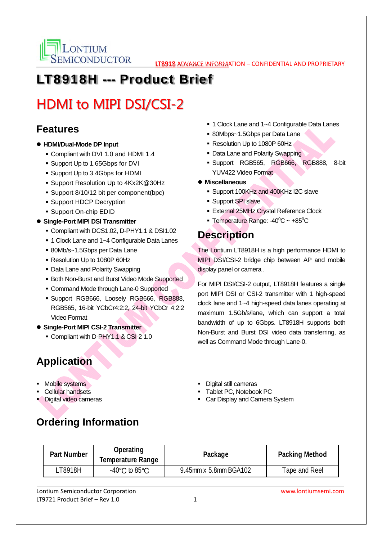

## LT8918H --- Product Brief

# HDMI to MIPI DSI/CSI-2

#### **Features**

- **HDMI/Dual-Mode DP Input** 
	- Compliant with DVI 1.0 and HDMI 1.4
	- Support Up to 1.65Gbps for DVI
	- Support Up to 3.4Gbps for HDMI
	- Support Resolution Up to 4Kx2K@30Hz
	- Support 8/10/12 bit per component(bpc)
	- Support HDCP Decryption
	- Support On-chip EDID
- **Single-Port MIPI DSI Transmitter** 
	- Compliant with DCS1.02, D-PHY1.1 & DSI1.02
	- 1 Clock Lane and 1~4 Configurable Data Lanes
	- 80Mb/s~1.5Gbps per Data Lane
	- Resolution Up to 1080P 60Hz
	- Data Lane and Polarity Swapping
	- **Both Non-Burst and Burst Video Mode Supported**
	- Command Mode through Lane-0 Supported
	- Support RGB666, Loosely RGB666, RGB888, RGB565, 16-bit YCbCr4:2:2, 24-bit YCbCr 4:2:2 Video Format
- **Single-Port MIPI CSI-2 Transmitter** 
	- Compliant with D-PHY1.1 & CSI-2 1.0

#### **Application**

- **Mobile systems**
- **Cellular handsets**
- Digital video cameras
- 1 Clock Lane and 1~4 Configurable Data Lanes
- 80Mbps~1.5Gbps per Data Lane
- Resolution Up to 1080P 60Hz
- Data Lane and Polarity Swapping
- Support RGB565, RGB666, RGB888, 8-bit YUV422 Video Format
- **Miscellaneous** 
	- Support 100KHz and 400KHz I2C slave
	- **Support SPI slave**
	- **External 25MHz Crystal Reference Clock**
	- **Temperature Range: -40** $^{\circ}$ **C** ~ +85 $^{\circ}$ C

### **Description**

The Lontium LT8918H is a high performance HDMI to MIPI DSI/CSI-2 bridge chip between AP and mobile display panel or camera .

For MIPI DSI/CSI-2 output, LT8918H features a single port MIPI DSI or CSI-2 transmitter with 1 high-speed clock lane and 1~4 high-speed data lanes operating at maximum 1.5Gb/s/lane, which can support a total bandwidth of up to 6Gbps. LT8918H supports both Non-Burst and Burst DSI video data transferring, as well as Command Mode through Lane-0.

- **Digital still cameras**
- Tablet PC, Notebook PC
- Car Display and Camera System

**Ordering Information**

| <b>Part Number</b> | <b>Operating</b><br>Temperature Range | Package               | <b>Packing Method</b> |
|--------------------|---------------------------------------|-----------------------|-----------------------|
| .T8918H            | $-40^{\circ}$ C to 85 $^{\circ}$ C    | 9.45mm x 5.8mm BGA102 | Tape and Reel         |

Lontium Semiconductor Corporation www.lontiumsemi.com LT9721 Product Brief – Rev  $1.0$   $1$